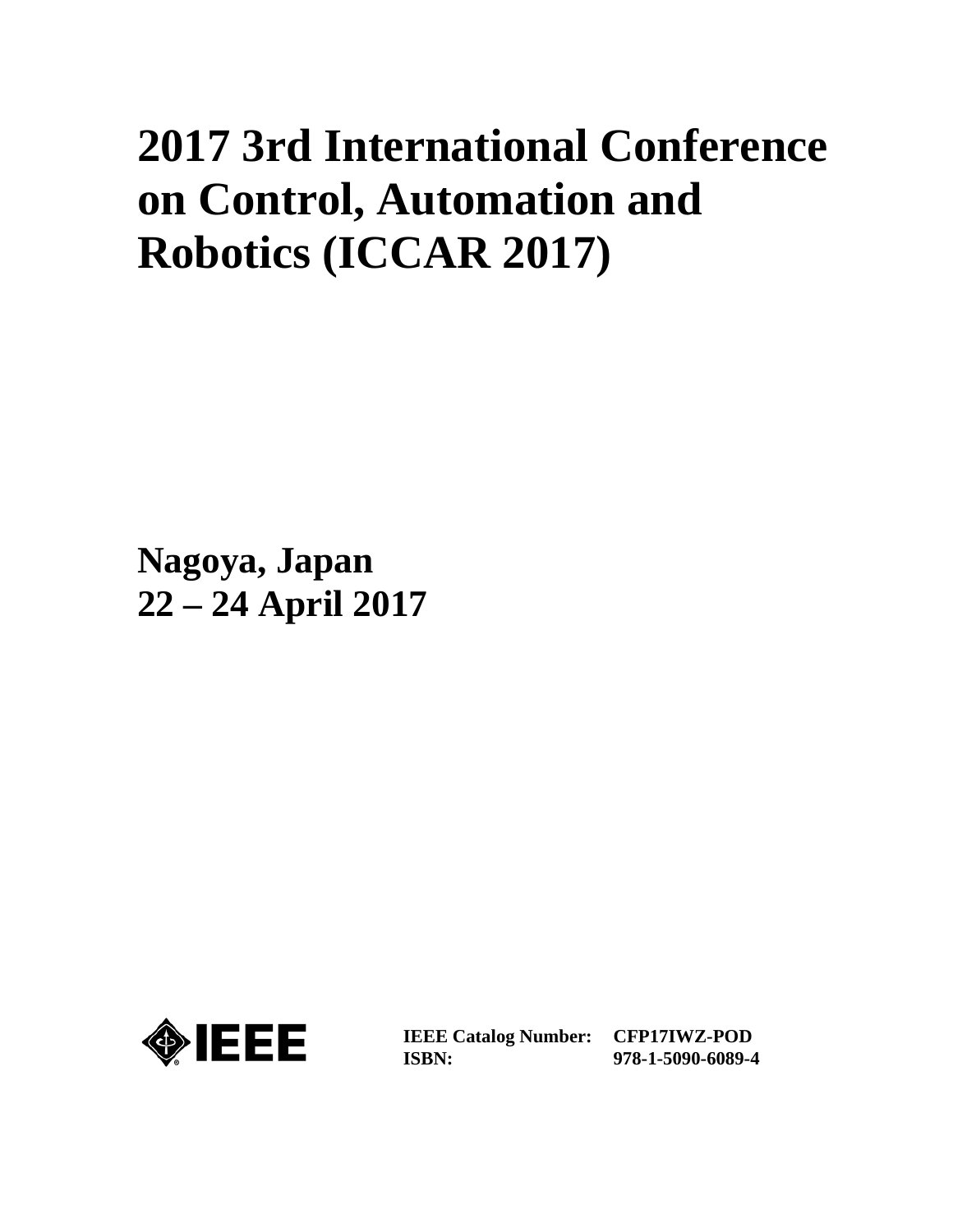# **2017 3rd International Conference on Control, Automation and Robotics (ICCAR 2017)**

**Nagoya, Japan 22 – 24 April 2017**



**IEEE Catalog Number: ISBN:** 

**CFP17IWZ-POD 978-1-5090-6089-4**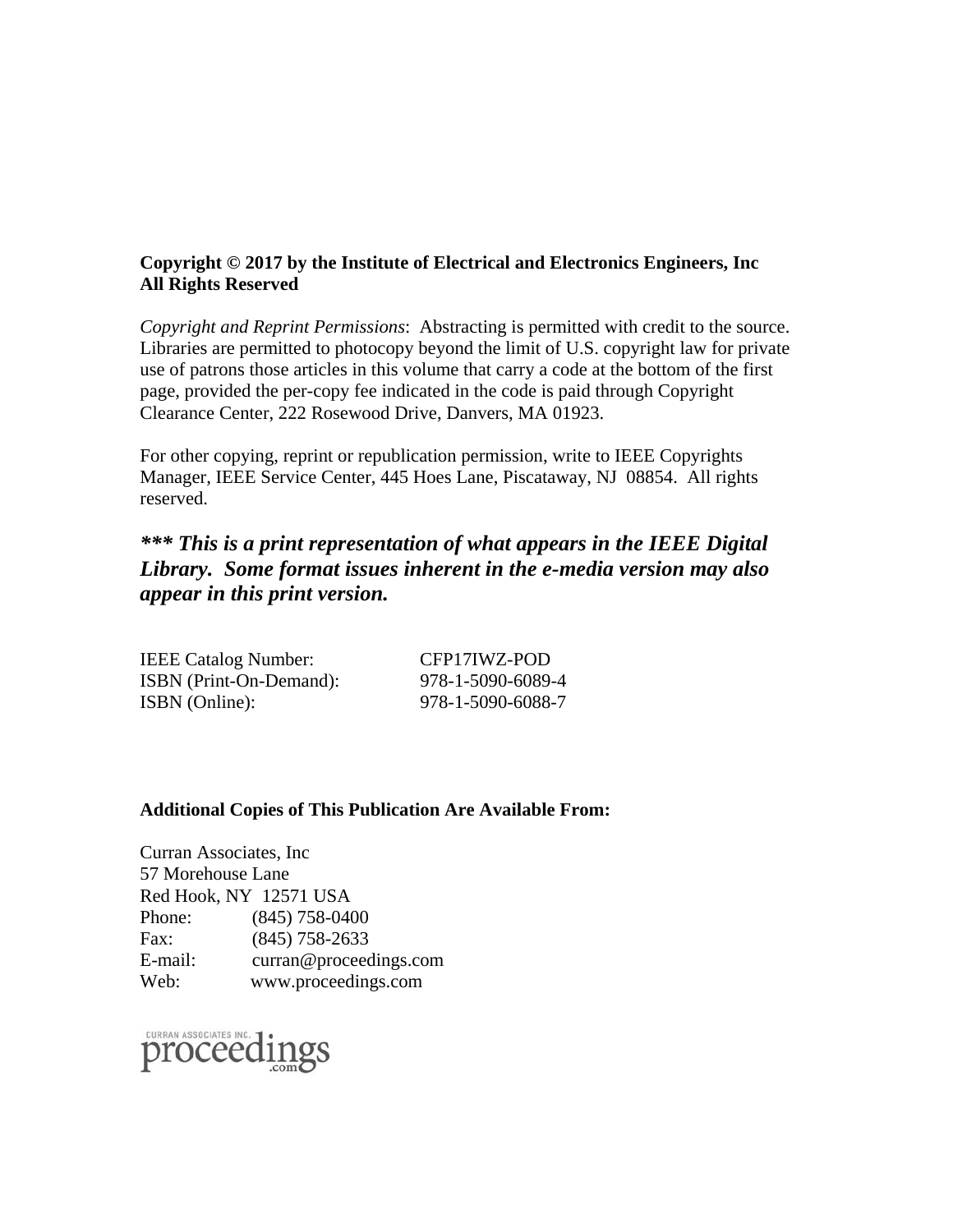### **Copyright © 2017 by the Institute of Electrical and Electronics Engineers, Inc All Rights Reserved**

*Copyright and Reprint Permissions*: Abstracting is permitted with credit to the source. Libraries are permitted to photocopy beyond the limit of U.S. copyright law for private use of patrons those articles in this volume that carry a code at the bottom of the first page, provided the per-copy fee indicated in the code is paid through Copyright Clearance Center, 222 Rosewood Drive, Danvers, MA 01923.

For other copying, reprint or republication permission, write to IEEE Copyrights Manager, IEEE Service Center, 445 Hoes Lane, Piscataway, NJ 08854. All rights reserved.

## *\*\*\* This is a print representation of what appears in the IEEE Digital Library. Some format issues inherent in the e-media version may also appear in this print version.*

| <b>IEEE Catalog Number:</b>    | CFP17IWZ-POD      |
|--------------------------------|-------------------|
| <b>ISBN</b> (Print-On-Demand): | 978-1-5090-6089-4 |
| ISBN (Online):                 | 978-1-5090-6088-7 |

#### **Additional Copies of This Publication Are Available From:**

Curran Associates, Inc 57 Morehouse Lane Red Hook, NY 12571 USA Phone: (845) 758-0400 Fax: (845) 758-2633 E-mail: curran@proceedings.com Web: www.proceedings.com

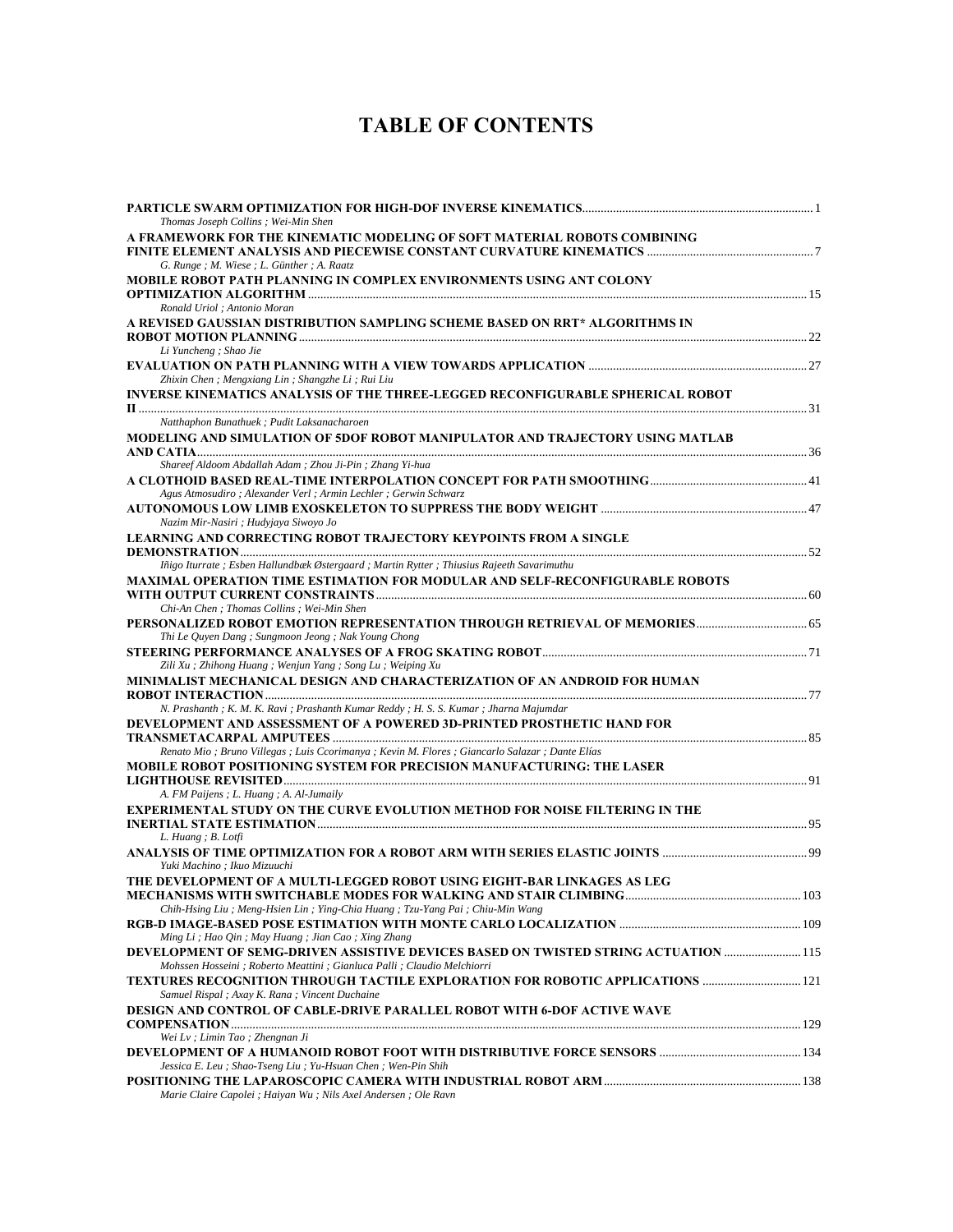## **TABLE OF CONTENTS**

| Thomas Joseph Collins; Wei-Min Shen                                                                                                         |      |
|---------------------------------------------------------------------------------------------------------------------------------------------|------|
| A FRAMEWORK FOR THE KINEMATIC MODELING OF SOFT MATERIAL ROBOTS COMBINING                                                                    |      |
|                                                                                                                                             |      |
| G. Runge ; M. Wiese ; L. Günther ; A. Raatz                                                                                                 |      |
| MOBILE ROBOT PATH PLANNING IN COMPLEX ENVIRONMENTS USING ANT COLONY                                                                         |      |
|                                                                                                                                             |      |
| Ronald Uriol ; Antonio Moran                                                                                                                |      |
| A REVISED GAUSSIAN DISTRIBUTION SAMPLING SCHEME BASED ON RRT* ALGORITHMS IN                                                                 |      |
|                                                                                                                                             |      |
| Li Yuncheng ; Shao Jie                                                                                                                      |      |
|                                                                                                                                             |      |
| Zhixin Chen; Mengxiang Lin; Shangzhe Li; Rui Liu                                                                                            |      |
| INVERSE KINEMATICS ANALYSIS OF THE THREE-LEGGED RECONFIGURABLE SPHERICAL ROBOT                                                              |      |
| Natthaphon Bunathuek ; Pudit Laksanacharoen                                                                                                 |      |
| MODELING AND SIMULATION OF 5DOF ROBOT MANIPULATOR AND TRAJECTORY USING MATLAB                                                               |      |
|                                                                                                                                             |      |
| Shareef Aldoom Abdallah Adam; Zhou Ji-Pin; Zhang Yi-hua                                                                                     |      |
|                                                                                                                                             |      |
| Agus Atmosudiro ; Alexander Verl ; Armin Lechler ; Gerwin Schwarz                                                                           |      |
|                                                                                                                                             |      |
| Nazim Mir-Nasiri ; Hudyjaya Siwoyo Jo                                                                                                       |      |
| <b>LEARNING AND CORRECTING ROBOT TRAJECTORY KEYPOINTS FROM A SINGLE</b>                                                                     |      |
|                                                                                                                                             |      |
| Iñigo Iturrate ; Esben Hallundbæk Østergaard ; Martin Rytter ; Thiusius Rajeeth Savarimuthu                                                 |      |
| MAXIMAL OPERATION TIME ESTIMATION FOR MODULAR AND SELF-RECONFIGURABLE ROBOTS                                                                |      |
|                                                                                                                                             |      |
| Chi-An Chen; Thomas Collins; Wei-Min Shen                                                                                                   |      |
|                                                                                                                                             |      |
| Thi Le Quyen Dang; Sungmoon Jeong; Nak Young Chong                                                                                          |      |
| Zili Xu; Zhihong Huang; Wenjun Yang; Song Lu; Weiping Xu                                                                                    |      |
| MINIMALIST MECHANICAL DESIGN AND CHARACTERIZATION OF AN ANDROID FOR HUMAN                                                                   |      |
|                                                                                                                                             |      |
| N. Prashanth; K. M. K. Ravi; Prashanth Kumar Reddy; H. S. S. Kumar; Jharna Majumdar                                                         |      |
| DEVELOPMENT AND ASSESSMENT OF A POWERED 3D-PRINTED PROSTHETIC HAND FOR                                                                      |      |
|                                                                                                                                             |      |
| Renato Mio ; Bruno Villegas ; Luis Ccorimanya ; Kevin M. Flores ; Giancarlo Salazar ; Dante Elías                                           |      |
| MOBILE ROBOT POSITIONING SYSTEM FOR PRECISION MANUFACTURING: THE LASER                                                                      |      |
|                                                                                                                                             |      |
| A. FM Paijens ; L. Huang ; A. Al-Jumaily                                                                                                    |      |
| EXPERIMENTAL STUDY ON THE CURVE EVOLUTION METHOD FOR NOISE FILTERING IN THE                                                                 |      |
|                                                                                                                                             |      |
| L. Huang; B. Lotfi                                                                                                                          |      |
|                                                                                                                                             |      |
| Yuki Machino ; Ikuo Mizuuchi                                                                                                                |      |
| THE DEVELOPMENT OF A MULTI-LEGGED ROBOT USING EIGHT-BAR LINKAGES AS LEG<br>MECHANISMS WITH SWITCHABLE MODES FOR WALKING AND STAIR CLIMBING. |      |
| Chih-Hsing Liu ; Meng-Hsien Lin ; Ying-Chia Huang ; Tzu-Yang Pai ; Chiu-Min Wang                                                            | .103 |
|                                                                                                                                             |      |
| Ming Li ; Hao Qin ; May Huang ; Jian Cao ; Xing Zhang                                                                                       |      |
| DEVELOPMENT OF SEMG-DRIVEN ASSISTIVE DEVICES BASED ON TWISTED STRING ACTUATION  115                                                         |      |
| Mohssen Hosseini ; Roberto Meattini ; Gianluca Palli ; Claudio Melchiorri                                                                   |      |
|                                                                                                                                             |      |
| Samuel Rispal ; Axay K. Rana ; Vincent Duchaine                                                                                             |      |
| <b>DESIGN AND CONTROL OF CABLE-DRIVE PARALLEL ROBOT WITH 6-DOF ACTIVE WAVE</b>                                                              |      |
|                                                                                                                                             |      |
| Wei Lv; Limin Tao; Zhengnan Ji                                                                                                              |      |
|                                                                                                                                             |      |
| Jessica E. Leu ; Shao-Tseng Liu ; Yu-Hsuan Chen ; Wen-Pin Shih                                                                              |      |
|                                                                                                                                             |      |
| Marie Claire Capolei ; Haiyan Wu ; Nils Axel Andersen ; Ole Ravn                                                                            |      |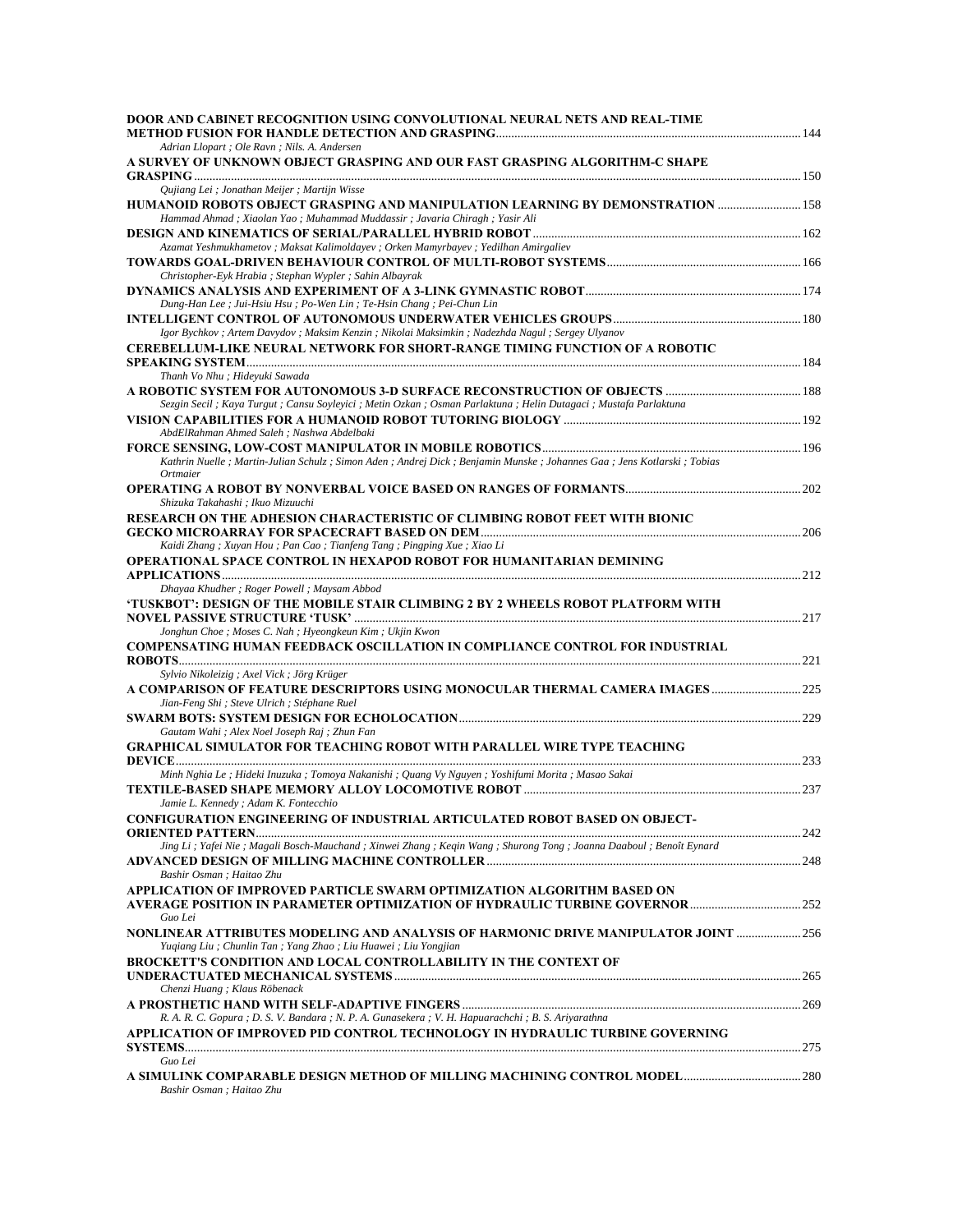| Adrian Llopart ; Ole Ravn ; Nils. A. Andersen<br>A SURVEY OF UNKNOWN OBJECT GRASPING AND OUR FAST GRASPING ALGORITHM-C SHAPE<br>Qujiang Lei ; Jonathan Meijer ; Martijn Wisse<br>HUMANOID ROBOTS OBJECT GRASPING AND MANIPULATION LEARNING BY DEMONSTRATION  158<br>Hammad Ahmad; Xiaolan Yao; Muhammad Muddassir; Javaria Chiragh; Yasir Ali<br>Azamat Yeshmukhametov; Maksat Kalimoldayev; Orken Mamyrbayev; Yedilhan Amirgaliev<br>Christopher-Eyk Hrabia ; Stephan Wypler ; Sahin Albayrak<br>Dung-Han Lee ; Jui-Hsiu Hsu ; Po-Wen Lin ; Te-Hsin Chang ; Pei-Chun Lin<br>Igor Bychkov ; Artem Davydov ; Maksim Kenzin ; Nikolai Maksimkin ; Nadezhda Nagul ; Sergey Ulyanov<br><b>CEREBELLUM-LIKE NEURAL NETWORK FOR SHORT-RANGE TIMING FUNCTION OF A ROBOTIC</b><br>Thanh Vo Nhu; Hideyuki Sawada<br>Sezgin Secil ; Kaya Turgut ; Cansu Soyleyici ; Metin Ozkan ; Osman Parlaktuna ; Helin Dutagaci ; Mustafa Parlaktuna<br>AbdElRahman Ahmed Saleh ; Nashwa Abdelbaki<br>Kathrin Nuelle ; Martin-Julian Schulz ; Simon Aden ; Andrej Dick ; Benjamin Munske ; Johannes Gaa ; Jens Kotlarski ; Tobias<br>Ortmaier<br>Shizuka Takahashi ; Ikuo Mizuuchi<br>RESEARCH ON THE ADHESION CHARACTERISTIC OF CLIMBING ROBOT FEET WITH BIONIC<br>Kaidi Zhang; Xuyan Hou; Pan Cao; Tianfeng Tang; Pingping Xue; Xiao Li<br>OPERATIONAL SPACE CONTROL IN HEXAPOD ROBOT FOR HUMANITARIAN DEMINING<br>Dhayaa Khudher; Roger Powell; Maysam Abbod<br>'TUSKBOT': DESIGN OF THE MOBILE STAIR CLIMBING 2 BY 2 WHEELS ROBOT PLATFORM WITH<br>Jonghun Choe ; Moses C. Nah ; Hyeongkeun Kim ; Ukjin Kwon<br><b>COMPENSATING HUMAN FEEDBACK OSCILLATION IN COMPLIANCE CONTROL FOR INDUSTRIAL</b><br>Sylvio Nikoleizig ; Axel Vick ; Jörg Krüger<br>A COMPARISON OF FEATURE DESCRIPTORS USING MONOCULAR THERMAL CAMERA IMAGES 225<br>Jian-Feng Shi ; Steve Ulrich ; Stéphane Ruel<br>Gautam Wahi; Alex Noel Joseph Raj; Zhun Fan<br><b>GRAPHICAL SIMULATOR FOR TEACHING ROBOT WITH PARALLEL WIRE TYPE TEACHING</b><br>Minh Nghia Le; Hideki Inuzuka; Tomoya Nakanishi; Quang Vy Nguyen; Yoshifumi Morita; Masao Sakai<br>Jamie L. Kennedy ; Adam K. Fontecchio<br><b>CONFIGURATION ENGINEERING OF INDUSTRIAL ARTICULATED ROBOT BASED ON OBJECT-</b><br>Jing Li; Yafei Nie; Magali Bosch-Mauchand; Xinwei Zhang; Keqin Wang; Shurong Tong; Joanna Daaboul; Benoît Eynard<br>Bashir Osman ; Haitao Zhu<br>APPLICATION OF IMPROVED PARTICLE SWARM OPTIMIZATION ALGORITHM BASED ON<br>Guo Lei<br>Yuqiang Liu; Chunlin Tan; Yang Zhao; Liu Huawei; Liu Yongjian<br>BROCKETT'S CONDITION AND LOCAL CONTROLLABILITY IN THE CONTEXT OF<br>Chenzi Huang; Klaus Röbenack<br>R. A. R. C. Gopura ; D. S. V. Bandara ; N. P. A. Gunasekera ; V. H. Hapuarachchi ; B. S. Ariyarathna<br>APPLICATION OF IMPROVED PID CONTROL TECHNOLOGY IN HYDRAULIC TURBINE GOVERNING<br>Guo Lei | DOOR AND CABINET RECOGNITION USING CONVOLUTIONAL NEURAL NETS AND REAL-TIME |  |
|---------------------------------------------------------------------------------------------------------------------------------------------------------------------------------------------------------------------------------------------------------------------------------------------------------------------------------------------------------------------------------------------------------------------------------------------------------------------------------------------------------------------------------------------------------------------------------------------------------------------------------------------------------------------------------------------------------------------------------------------------------------------------------------------------------------------------------------------------------------------------------------------------------------------------------------------------------------------------------------------------------------------------------------------------------------------------------------------------------------------------------------------------------------------------------------------------------------------------------------------------------------------------------------------------------------------------------------------------------------------------------------------------------------------------------------------------------------------------------------------------------------------------------------------------------------------------------------------------------------------------------------------------------------------------------------------------------------------------------------------------------------------------------------------------------------------------------------------------------------------------------------------------------------------------------------------------------------------------------------------------------------------------------------------------------------------------------------------------------------------------------------------------------------------------------------------------------------------------------------------------------------------------------------------------------------------------------------------------------------------------------------------------------------------------------------------------------------------------------------------------------------------------------------------------------------------------------------------------------------------------------------------------------------------------------------------------------------------------------------------------------------------------------------------------------------------------------------------------|----------------------------------------------------------------------------|--|
|                                                                                                                                                                                                                                                                                                                                                                                                                                                                                                                                                                                                                                                                                                                                                                                                                                                                                                                                                                                                                                                                                                                                                                                                                                                                                                                                                                                                                                                                                                                                                                                                                                                                                                                                                                                                                                                                                                                                                                                                                                                                                                                                                                                                                                                                                                                                                                                                                                                                                                                                                                                                                                                                                                                                                                                                                                                   |                                                                            |  |
|                                                                                                                                                                                                                                                                                                                                                                                                                                                                                                                                                                                                                                                                                                                                                                                                                                                                                                                                                                                                                                                                                                                                                                                                                                                                                                                                                                                                                                                                                                                                                                                                                                                                                                                                                                                                                                                                                                                                                                                                                                                                                                                                                                                                                                                                                                                                                                                                                                                                                                                                                                                                                                                                                                                                                                                                                                                   |                                                                            |  |
|                                                                                                                                                                                                                                                                                                                                                                                                                                                                                                                                                                                                                                                                                                                                                                                                                                                                                                                                                                                                                                                                                                                                                                                                                                                                                                                                                                                                                                                                                                                                                                                                                                                                                                                                                                                                                                                                                                                                                                                                                                                                                                                                                                                                                                                                                                                                                                                                                                                                                                                                                                                                                                                                                                                                                                                                                                                   |                                                                            |  |
|                                                                                                                                                                                                                                                                                                                                                                                                                                                                                                                                                                                                                                                                                                                                                                                                                                                                                                                                                                                                                                                                                                                                                                                                                                                                                                                                                                                                                                                                                                                                                                                                                                                                                                                                                                                                                                                                                                                                                                                                                                                                                                                                                                                                                                                                                                                                                                                                                                                                                                                                                                                                                                                                                                                                                                                                                                                   |                                                                            |  |
|                                                                                                                                                                                                                                                                                                                                                                                                                                                                                                                                                                                                                                                                                                                                                                                                                                                                                                                                                                                                                                                                                                                                                                                                                                                                                                                                                                                                                                                                                                                                                                                                                                                                                                                                                                                                                                                                                                                                                                                                                                                                                                                                                                                                                                                                                                                                                                                                                                                                                                                                                                                                                                                                                                                                                                                                                                                   |                                                                            |  |
|                                                                                                                                                                                                                                                                                                                                                                                                                                                                                                                                                                                                                                                                                                                                                                                                                                                                                                                                                                                                                                                                                                                                                                                                                                                                                                                                                                                                                                                                                                                                                                                                                                                                                                                                                                                                                                                                                                                                                                                                                                                                                                                                                                                                                                                                                                                                                                                                                                                                                                                                                                                                                                                                                                                                                                                                                                                   |                                                                            |  |
|                                                                                                                                                                                                                                                                                                                                                                                                                                                                                                                                                                                                                                                                                                                                                                                                                                                                                                                                                                                                                                                                                                                                                                                                                                                                                                                                                                                                                                                                                                                                                                                                                                                                                                                                                                                                                                                                                                                                                                                                                                                                                                                                                                                                                                                                                                                                                                                                                                                                                                                                                                                                                                                                                                                                                                                                                                                   |                                                                            |  |
|                                                                                                                                                                                                                                                                                                                                                                                                                                                                                                                                                                                                                                                                                                                                                                                                                                                                                                                                                                                                                                                                                                                                                                                                                                                                                                                                                                                                                                                                                                                                                                                                                                                                                                                                                                                                                                                                                                                                                                                                                                                                                                                                                                                                                                                                                                                                                                                                                                                                                                                                                                                                                                                                                                                                                                                                                                                   |                                                                            |  |
|                                                                                                                                                                                                                                                                                                                                                                                                                                                                                                                                                                                                                                                                                                                                                                                                                                                                                                                                                                                                                                                                                                                                                                                                                                                                                                                                                                                                                                                                                                                                                                                                                                                                                                                                                                                                                                                                                                                                                                                                                                                                                                                                                                                                                                                                                                                                                                                                                                                                                                                                                                                                                                                                                                                                                                                                                                                   |                                                                            |  |
|                                                                                                                                                                                                                                                                                                                                                                                                                                                                                                                                                                                                                                                                                                                                                                                                                                                                                                                                                                                                                                                                                                                                                                                                                                                                                                                                                                                                                                                                                                                                                                                                                                                                                                                                                                                                                                                                                                                                                                                                                                                                                                                                                                                                                                                                                                                                                                                                                                                                                                                                                                                                                                                                                                                                                                                                                                                   |                                                                            |  |
|                                                                                                                                                                                                                                                                                                                                                                                                                                                                                                                                                                                                                                                                                                                                                                                                                                                                                                                                                                                                                                                                                                                                                                                                                                                                                                                                                                                                                                                                                                                                                                                                                                                                                                                                                                                                                                                                                                                                                                                                                                                                                                                                                                                                                                                                                                                                                                                                                                                                                                                                                                                                                                                                                                                                                                                                                                                   |                                                                            |  |
|                                                                                                                                                                                                                                                                                                                                                                                                                                                                                                                                                                                                                                                                                                                                                                                                                                                                                                                                                                                                                                                                                                                                                                                                                                                                                                                                                                                                                                                                                                                                                                                                                                                                                                                                                                                                                                                                                                                                                                                                                                                                                                                                                                                                                                                                                                                                                                                                                                                                                                                                                                                                                                                                                                                                                                                                                                                   |                                                                            |  |
|                                                                                                                                                                                                                                                                                                                                                                                                                                                                                                                                                                                                                                                                                                                                                                                                                                                                                                                                                                                                                                                                                                                                                                                                                                                                                                                                                                                                                                                                                                                                                                                                                                                                                                                                                                                                                                                                                                                                                                                                                                                                                                                                                                                                                                                                                                                                                                                                                                                                                                                                                                                                                                                                                                                                                                                                                                                   |                                                                            |  |
|                                                                                                                                                                                                                                                                                                                                                                                                                                                                                                                                                                                                                                                                                                                                                                                                                                                                                                                                                                                                                                                                                                                                                                                                                                                                                                                                                                                                                                                                                                                                                                                                                                                                                                                                                                                                                                                                                                                                                                                                                                                                                                                                                                                                                                                                                                                                                                                                                                                                                                                                                                                                                                                                                                                                                                                                                                                   |                                                                            |  |
|                                                                                                                                                                                                                                                                                                                                                                                                                                                                                                                                                                                                                                                                                                                                                                                                                                                                                                                                                                                                                                                                                                                                                                                                                                                                                                                                                                                                                                                                                                                                                                                                                                                                                                                                                                                                                                                                                                                                                                                                                                                                                                                                                                                                                                                                                                                                                                                                                                                                                                                                                                                                                                                                                                                                                                                                                                                   |                                                                            |  |
|                                                                                                                                                                                                                                                                                                                                                                                                                                                                                                                                                                                                                                                                                                                                                                                                                                                                                                                                                                                                                                                                                                                                                                                                                                                                                                                                                                                                                                                                                                                                                                                                                                                                                                                                                                                                                                                                                                                                                                                                                                                                                                                                                                                                                                                                                                                                                                                                                                                                                                                                                                                                                                                                                                                                                                                                                                                   |                                                                            |  |
|                                                                                                                                                                                                                                                                                                                                                                                                                                                                                                                                                                                                                                                                                                                                                                                                                                                                                                                                                                                                                                                                                                                                                                                                                                                                                                                                                                                                                                                                                                                                                                                                                                                                                                                                                                                                                                                                                                                                                                                                                                                                                                                                                                                                                                                                                                                                                                                                                                                                                                                                                                                                                                                                                                                                                                                                                                                   |                                                                            |  |
|                                                                                                                                                                                                                                                                                                                                                                                                                                                                                                                                                                                                                                                                                                                                                                                                                                                                                                                                                                                                                                                                                                                                                                                                                                                                                                                                                                                                                                                                                                                                                                                                                                                                                                                                                                                                                                                                                                                                                                                                                                                                                                                                                                                                                                                                                                                                                                                                                                                                                                                                                                                                                                                                                                                                                                                                                                                   |                                                                            |  |
|                                                                                                                                                                                                                                                                                                                                                                                                                                                                                                                                                                                                                                                                                                                                                                                                                                                                                                                                                                                                                                                                                                                                                                                                                                                                                                                                                                                                                                                                                                                                                                                                                                                                                                                                                                                                                                                                                                                                                                                                                                                                                                                                                                                                                                                                                                                                                                                                                                                                                                                                                                                                                                                                                                                                                                                                                                                   |                                                                            |  |
|                                                                                                                                                                                                                                                                                                                                                                                                                                                                                                                                                                                                                                                                                                                                                                                                                                                                                                                                                                                                                                                                                                                                                                                                                                                                                                                                                                                                                                                                                                                                                                                                                                                                                                                                                                                                                                                                                                                                                                                                                                                                                                                                                                                                                                                                                                                                                                                                                                                                                                                                                                                                                                                                                                                                                                                                                                                   |                                                                            |  |
|                                                                                                                                                                                                                                                                                                                                                                                                                                                                                                                                                                                                                                                                                                                                                                                                                                                                                                                                                                                                                                                                                                                                                                                                                                                                                                                                                                                                                                                                                                                                                                                                                                                                                                                                                                                                                                                                                                                                                                                                                                                                                                                                                                                                                                                                                                                                                                                                                                                                                                                                                                                                                                                                                                                                                                                                                                                   |                                                                            |  |
|                                                                                                                                                                                                                                                                                                                                                                                                                                                                                                                                                                                                                                                                                                                                                                                                                                                                                                                                                                                                                                                                                                                                                                                                                                                                                                                                                                                                                                                                                                                                                                                                                                                                                                                                                                                                                                                                                                                                                                                                                                                                                                                                                                                                                                                                                                                                                                                                                                                                                                                                                                                                                                                                                                                                                                                                                                                   |                                                                            |  |
|                                                                                                                                                                                                                                                                                                                                                                                                                                                                                                                                                                                                                                                                                                                                                                                                                                                                                                                                                                                                                                                                                                                                                                                                                                                                                                                                                                                                                                                                                                                                                                                                                                                                                                                                                                                                                                                                                                                                                                                                                                                                                                                                                                                                                                                                                                                                                                                                                                                                                                                                                                                                                                                                                                                                                                                                                                                   |                                                                            |  |
|                                                                                                                                                                                                                                                                                                                                                                                                                                                                                                                                                                                                                                                                                                                                                                                                                                                                                                                                                                                                                                                                                                                                                                                                                                                                                                                                                                                                                                                                                                                                                                                                                                                                                                                                                                                                                                                                                                                                                                                                                                                                                                                                                                                                                                                                                                                                                                                                                                                                                                                                                                                                                                                                                                                                                                                                                                                   |                                                                            |  |
|                                                                                                                                                                                                                                                                                                                                                                                                                                                                                                                                                                                                                                                                                                                                                                                                                                                                                                                                                                                                                                                                                                                                                                                                                                                                                                                                                                                                                                                                                                                                                                                                                                                                                                                                                                                                                                                                                                                                                                                                                                                                                                                                                                                                                                                                                                                                                                                                                                                                                                                                                                                                                                                                                                                                                                                                                                                   |                                                                            |  |
|                                                                                                                                                                                                                                                                                                                                                                                                                                                                                                                                                                                                                                                                                                                                                                                                                                                                                                                                                                                                                                                                                                                                                                                                                                                                                                                                                                                                                                                                                                                                                                                                                                                                                                                                                                                                                                                                                                                                                                                                                                                                                                                                                                                                                                                                                                                                                                                                                                                                                                                                                                                                                                                                                                                                                                                                                                                   |                                                                            |  |
|                                                                                                                                                                                                                                                                                                                                                                                                                                                                                                                                                                                                                                                                                                                                                                                                                                                                                                                                                                                                                                                                                                                                                                                                                                                                                                                                                                                                                                                                                                                                                                                                                                                                                                                                                                                                                                                                                                                                                                                                                                                                                                                                                                                                                                                                                                                                                                                                                                                                                                                                                                                                                                                                                                                                                                                                                                                   |                                                                            |  |
|                                                                                                                                                                                                                                                                                                                                                                                                                                                                                                                                                                                                                                                                                                                                                                                                                                                                                                                                                                                                                                                                                                                                                                                                                                                                                                                                                                                                                                                                                                                                                                                                                                                                                                                                                                                                                                                                                                                                                                                                                                                                                                                                                                                                                                                                                                                                                                                                                                                                                                                                                                                                                                                                                                                                                                                                                                                   |                                                                            |  |
|                                                                                                                                                                                                                                                                                                                                                                                                                                                                                                                                                                                                                                                                                                                                                                                                                                                                                                                                                                                                                                                                                                                                                                                                                                                                                                                                                                                                                                                                                                                                                                                                                                                                                                                                                                                                                                                                                                                                                                                                                                                                                                                                                                                                                                                                                                                                                                                                                                                                                                                                                                                                                                                                                                                                                                                                                                                   |                                                                            |  |
|                                                                                                                                                                                                                                                                                                                                                                                                                                                                                                                                                                                                                                                                                                                                                                                                                                                                                                                                                                                                                                                                                                                                                                                                                                                                                                                                                                                                                                                                                                                                                                                                                                                                                                                                                                                                                                                                                                                                                                                                                                                                                                                                                                                                                                                                                                                                                                                                                                                                                                                                                                                                                                                                                                                                                                                                                                                   |                                                                            |  |
|                                                                                                                                                                                                                                                                                                                                                                                                                                                                                                                                                                                                                                                                                                                                                                                                                                                                                                                                                                                                                                                                                                                                                                                                                                                                                                                                                                                                                                                                                                                                                                                                                                                                                                                                                                                                                                                                                                                                                                                                                                                                                                                                                                                                                                                                                                                                                                                                                                                                                                                                                                                                                                                                                                                                                                                                                                                   |                                                                            |  |
|                                                                                                                                                                                                                                                                                                                                                                                                                                                                                                                                                                                                                                                                                                                                                                                                                                                                                                                                                                                                                                                                                                                                                                                                                                                                                                                                                                                                                                                                                                                                                                                                                                                                                                                                                                                                                                                                                                                                                                                                                                                                                                                                                                                                                                                                                                                                                                                                                                                                                                                                                                                                                                                                                                                                                                                                                                                   |                                                                            |  |
|                                                                                                                                                                                                                                                                                                                                                                                                                                                                                                                                                                                                                                                                                                                                                                                                                                                                                                                                                                                                                                                                                                                                                                                                                                                                                                                                                                                                                                                                                                                                                                                                                                                                                                                                                                                                                                                                                                                                                                                                                                                                                                                                                                                                                                                                                                                                                                                                                                                                                                                                                                                                                                                                                                                                                                                                                                                   |                                                                            |  |
|                                                                                                                                                                                                                                                                                                                                                                                                                                                                                                                                                                                                                                                                                                                                                                                                                                                                                                                                                                                                                                                                                                                                                                                                                                                                                                                                                                                                                                                                                                                                                                                                                                                                                                                                                                                                                                                                                                                                                                                                                                                                                                                                                                                                                                                                                                                                                                                                                                                                                                                                                                                                                                                                                                                                                                                                                                                   |                                                                            |  |
|                                                                                                                                                                                                                                                                                                                                                                                                                                                                                                                                                                                                                                                                                                                                                                                                                                                                                                                                                                                                                                                                                                                                                                                                                                                                                                                                                                                                                                                                                                                                                                                                                                                                                                                                                                                                                                                                                                                                                                                                                                                                                                                                                                                                                                                                                                                                                                                                                                                                                                                                                                                                                                                                                                                                                                                                                                                   |                                                                            |  |
|                                                                                                                                                                                                                                                                                                                                                                                                                                                                                                                                                                                                                                                                                                                                                                                                                                                                                                                                                                                                                                                                                                                                                                                                                                                                                                                                                                                                                                                                                                                                                                                                                                                                                                                                                                                                                                                                                                                                                                                                                                                                                                                                                                                                                                                                                                                                                                                                                                                                                                                                                                                                                                                                                                                                                                                                                                                   |                                                                            |  |
|                                                                                                                                                                                                                                                                                                                                                                                                                                                                                                                                                                                                                                                                                                                                                                                                                                                                                                                                                                                                                                                                                                                                                                                                                                                                                                                                                                                                                                                                                                                                                                                                                                                                                                                                                                                                                                                                                                                                                                                                                                                                                                                                                                                                                                                                                                                                                                                                                                                                                                                                                                                                                                                                                                                                                                                                                                                   |                                                                            |  |
|                                                                                                                                                                                                                                                                                                                                                                                                                                                                                                                                                                                                                                                                                                                                                                                                                                                                                                                                                                                                                                                                                                                                                                                                                                                                                                                                                                                                                                                                                                                                                                                                                                                                                                                                                                                                                                                                                                                                                                                                                                                                                                                                                                                                                                                                                                                                                                                                                                                                                                                                                                                                                                                                                                                                                                                                                                                   |                                                                            |  |
|                                                                                                                                                                                                                                                                                                                                                                                                                                                                                                                                                                                                                                                                                                                                                                                                                                                                                                                                                                                                                                                                                                                                                                                                                                                                                                                                                                                                                                                                                                                                                                                                                                                                                                                                                                                                                                                                                                                                                                                                                                                                                                                                                                                                                                                                                                                                                                                                                                                                                                                                                                                                                                                                                                                                                                                                                                                   | Bashir Osman ; Haitao Zhu                                                  |  |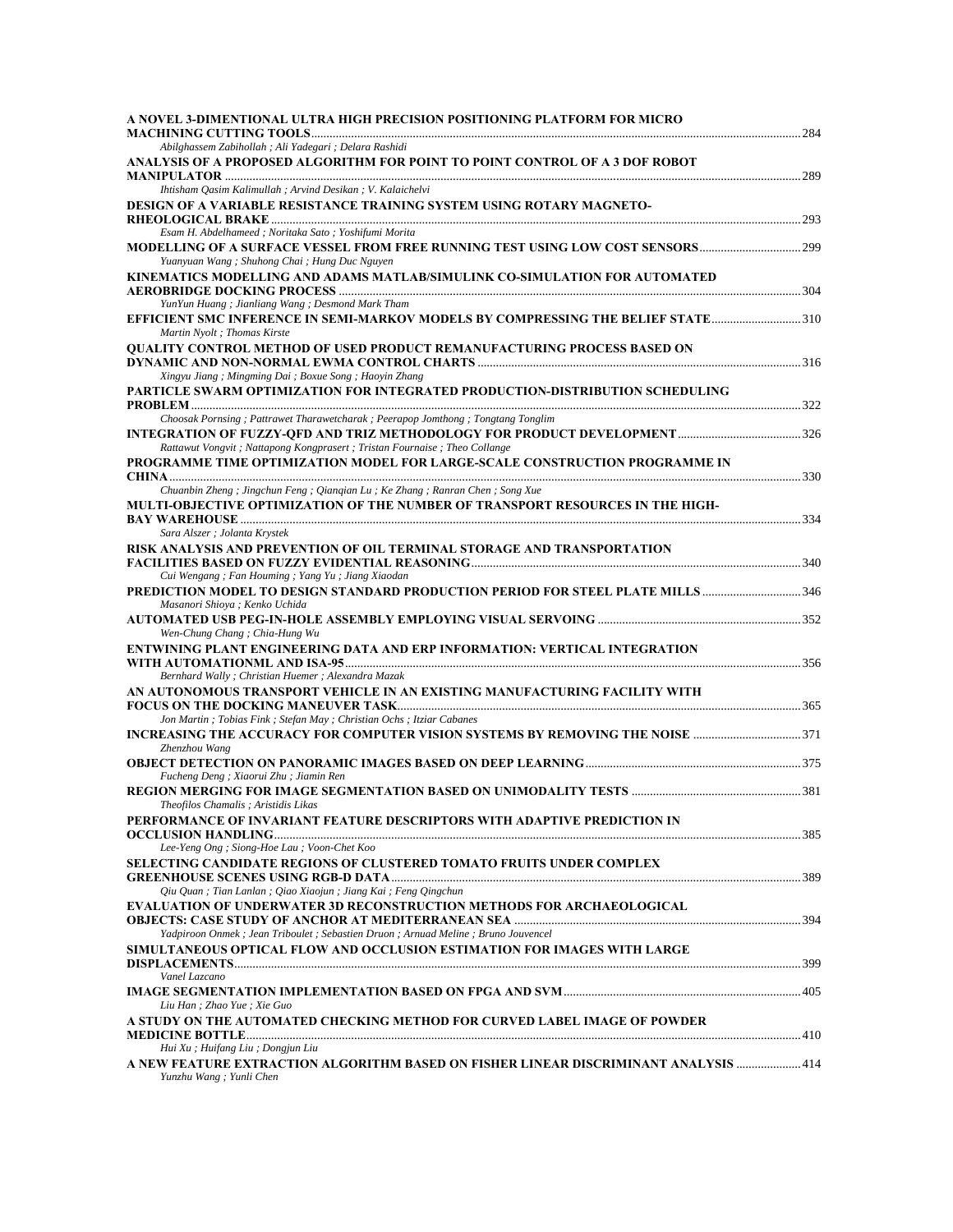| A NOVEL 3-DIMENTIONAL ULTRA HIGH PRECISION POSITIONING PLATFORM FOR MICRO                                                                                     |  |
|---------------------------------------------------------------------------------------------------------------------------------------------------------------|--|
| Abilghassem Zabihollah ; Ali Yadegari ; Delara Rashidi                                                                                                        |  |
| ANALYSIS OF A PROPOSED ALGORITHM FOR POINT TO POINT CONTROL OF A 3 DOF ROBOT                                                                                  |  |
|                                                                                                                                                               |  |
| Ihtisham Qasim Kalimullah ; Arvind Desikan ; V. Kalaichelvi                                                                                                   |  |
| DESIGN OF A VARIABLE RESISTANCE TRAINING SYSTEM USING ROTARY MAGNETO-                                                                                         |  |
| Esam H. Abdelhameed; Noritaka Sato; Yoshifumi Morita                                                                                                          |  |
|                                                                                                                                                               |  |
| Yuanyuan Wang ; Shuhong Chai ; Hung Duc Nguyen                                                                                                                |  |
| KINEMATICS MODELLING AND ADAMS MATLAB/SIMULINK CO-SIMULATION FOR AUTOMATED                                                                                    |  |
|                                                                                                                                                               |  |
| YunYun Huang; Jianliang Wang; Desmond Mark Tham<br>EFFICIENT SMC INFERENCE IN SEMI-MARKOV MODELS BY COMPRESSING THE BELIEF STATE310                           |  |
| Martin Nyolt ; Thomas Kirste                                                                                                                                  |  |
| <b>QUALITY CONTROL METHOD OF USED PRODUCT REMANUFACTURING PROCESS BASED ON</b>                                                                                |  |
|                                                                                                                                                               |  |
| Xingyu Jiang; Mingming Dai; Boxue Song; Haoyin Zhang                                                                                                          |  |
| PARTICLE SWARM OPTIMIZATION FOR INTEGRATED PRODUCTION-DISTRIBUTION SCHEDULING                                                                                 |  |
| Choosak Pornsing; Pattrawet Tharawetcharak; Peerapop Jomthong; Tongtang Tonglim                                                                               |  |
|                                                                                                                                                               |  |
| Rattawut Vongvit ; Nattapong Kongprasert ; Tristan Fournaise ; Theo Collange                                                                                  |  |
| PROGRAMME TIME OPTIMIZATION MODEL FOR LARGE-SCALE CONSTRUCTION PROGRAMME IN                                                                                   |  |
|                                                                                                                                                               |  |
| Chuanbin Zheng; Jingchun Feng; Qianqian Lu; Ke Zhang; Ranran Chen; Song Xue<br>MULTI-OBJECTIVE OPTIMIZATION OF THE NUMBER OF TRANSPORT RESOURCES IN THE HIGH- |  |
|                                                                                                                                                               |  |
| Sara Alszer ; Jolanta Krystek                                                                                                                                 |  |
| RISK ANALYSIS AND PREVENTION OF OIL TERMINAL STORAGE AND TRANSPORTATION                                                                                       |  |
|                                                                                                                                                               |  |
| Cui Wengang; Fan Houming; Yang Yu; Jiang Xiaodan                                                                                                              |  |
| <b>PREDICTION MODEL TO DESIGN STANDARD PRODUCTION PERIOD FOR STEEL PLATE MILLS 346</b><br>Masanori Shioya ; Kenko Uchida                                      |  |
|                                                                                                                                                               |  |
| Wen-Chung Chang; Chia-Hung Wu                                                                                                                                 |  |
| ENTWINING PLANT ENGINEERING DATA AND ERP INFORMATION: VERTICAL INTEGRATION                                                                                    |  |
|                                                                                                                                                               |  |
| Bernhard Wally; Christian Huemer; Alexandra Mazak                                                                                                             |  |
| AN AUTONOMOUS TRANSPORT VEHICLE IN AN EXISTING MANUFACTURING FACILITY WITH                                                                                    |  |
| Jon Martin ; Tobias Fink ; Stefan May ; Christian Ochs ; Itziar Cabanes                                                                                       |  |
| <b>INCREASING THE ACCURACY FOR COMPUTER VISION SYSTEMS BY REMOVING THE NOISE </b> 371                                                                         |  |
| Zhenzhou Wang                                                                                                                                                 |  |
|                                                                                                                                                               |  |
| Fucheng Deng; Xiaorui Zhu; Jiamin Ren                                                                                                                         |  |
| Theofilos Chamalis; Aristidis Likas                                                                                                                           |  |
| PERFORMANCE OF INVARIANT FEATURE DESCRIPTORS WITH ADAPTIVE PREDICTION IN                                                                                      |  |
|                                                                                                                                                               |  |
| Lee-Yeng Ong; Siong-Hoe Lau; Voon-Chet Koo                                                                                                                    |  |
| SELECTING CANDIDATE REGIONS OF CLUSTERED TOMATO FRUITS UNDER COMPLEX                                                                                          |  |
| Qiu Quan; Tian Lanlan; Qiao Xiaojun; Jiang Kai; Feng Qingchun                                                                                                 |  |
| <b>EVALUATION OF UNDERWATER 3D RECONSTRUCTION METHODS FOR ARCHAEOLOGICAL</b>                                                                                  |  |
|                                                                                                                                                               |  |
| Yadpiroon Onmek; Jean Triboulet; Sebastien Druon; Arnuad Meline; Bruno Jouvencel                                                                              |  |
| SIMULTANEOUS OPTICAL FLOW AND OCCLUSION ESTIMATION FOR IMAGES WITH LARGE                                                                                      |  |
|                                                                                                                                                               |  |
| Vanel Lazcano                                                                                                                                                 |  |
| Liu Han; Zhao Yue; Xie Guo                                                                                                                                    |  |
| A STUDY ON THE AUTOMATED CHECKING METHOD FOR CURVED LABEL IMAGE OF POWDER                                                                                     |  |
|                                                                                                                                                               |  |
| Hui Xu; Huifang Liu; Dongjun Liu                                                                                                                              |  |
| A NEW FEATURE EXTRACTION ALGORITHM BASED ON FISHER LINEAR DISCRIMINANT ANALYSIS  414<br>Yunzhu Wang; Yunli Chen                                               |  |
|                                                                                                                                                               |  |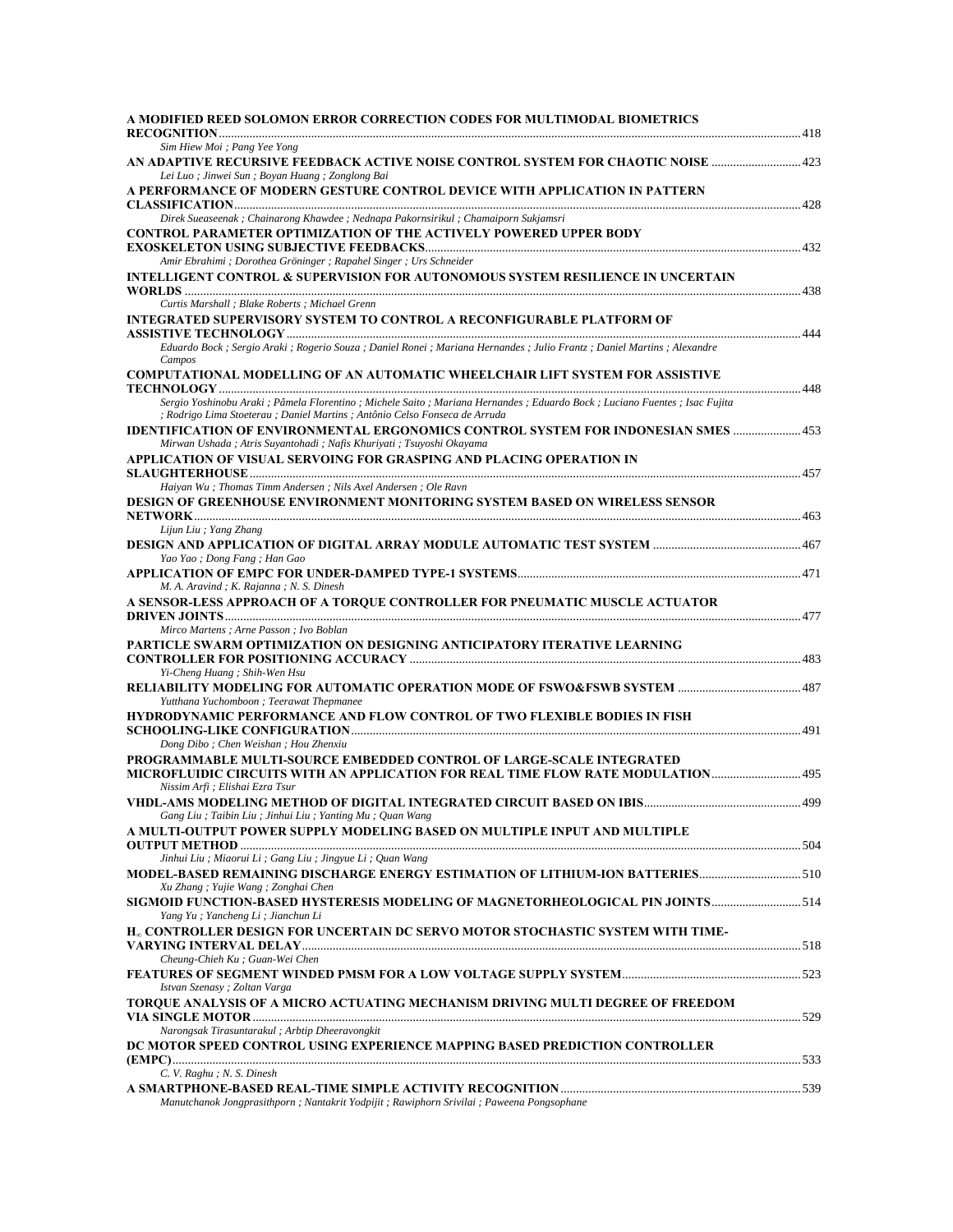| A MODIFIED REED SOLOMON ERROR CORRECTION CODES FOR MULTIMODAL BIOMETRICS                                                                                                                               |  |
|--------------------------------------------------------------------------------------------------------------------------------------------------------------------------------------------------------|--|
| Sim Hiew Moi ; Pang Yee Yong                                                                                                                                                                           |  |
| Lei Luo; Jinwei Sun; Boyan Huang; Zonglong Bai                                                                                                                                                         |  |
| A PERFORMANCE OF MODERN GESTURE CONTROL DEVICE WITH APPLICATION IN PATTERN                                                                                                                             |  |
| Direk Sueaseenak ; Chainarong Khawdee ; Nednapa Pakornsirikul ; Chamaiporn Sukjamsri                                                                                                                   |  |
| CONTROL PARAMETER OPTIMIZATION OF THE ACTIVELY POWERED UPPER BODY                                                                                                                                      |  |
| Amir Ebrahimi ; Dorothea Gröninger ; Rapahel Singer ; Urs Schneider                                                                                                                                    |  |
| INTELLIGENT CONTROL & SUPERVISION FOR AUTONOMOUS SYSTEM RESILIENCE IN UNCERTAIN                                                                                                                        |  |
| Curtis Marshall ; Blake Roberts ; Michael Grenn                                                                                                                                                        |  |
| INTEGRATED SUPERVISORY SYSTEM TO CONTROL A RECONFIGURABLE PLATFORM OF                                                                                                                                  |  |
| Eduardo Bock; Sergio Araki; Rogerio Souza; Daniel Ronei; Mariana Hernandes; Julio Frantz; Daniel Martins; Alexandre<br>Campos                                                                          |  |
| COMPUTATIONAL MODELLING OF AN AUTOMATIC WHEELCHAIR LIFT SYSTEM FOR ASSISTIVE                                                                                                                           |  |
| Sergio Yoshinobu Araki; Pâmela Florentino; Michele Saito; Mariana Hernandes; Eduardo Bock; Luciano Fuentes; Isac Fujita<br>; Rodrigo Lima Stoeterau ; Daniel Martins ; Antônio Celso Fonseca de Arruda |  |
| IDENTIFICATION OF ENVIRONMENTAL ERGONOMICS CONTROL SYSTEM FOR INDONESIAN SMES  453<br>Mirwan Ushada ; Atris Suyantohadi ; Nafis Khuriyati ; Tsuyoshi Okayama                                           |  |
| APPLICATION OF VISUAL SERVOING FOR GRASPING AND PLACING OPERATION IN                                                                                                                                   |  |
| Haiyan Wu; Thomas Timm Andersen; Nils Axel Andersen; Ole Ravn                                                                                                                                          |  |
| DESIGN OF GREENHOUSE ENVIRONMENT MONITORING SYSTEM BASED ON WIRELESS SENSOR                                                                                                                            |  |
| Lijun Liu; Yang Zhang                                                                                                                                                                                  |  |
| Yao Yao ; Dong Fang ; Han Gao                                                                                                                                                                          |  |
| M. A. Aravind; K. Rajanna; N. S. Dinesh                                                                                                                                                                |  |
| A SENSOR-LESS APPROACH OF A TORQUE CONTROLLER FOR PNEUMATIC MUSCLE ACTUATOR                                                                                                                            |  |
| Mirco Martens ; Arne Passon ; Ivo Boblan                                                                                                                                                               |  |
| PARTICLE SWARM OPTIMIZATION ON DESIGNING ANTICIPATORY ITERATIVE LEARNING                                                                                                                               |  |
| Yi-Cheng Huang; Shih-Wen Hsu                                                                                                                                                                           |  |
| Yutthana Yuchomboon; Teerawat Thepmanee                                                                                                                                                                |  |
| HYDRODYNAMIC PERFORMANCE AND FLOW CONTROL OF TWO FLEXIBLE BODIES IN FISH                                                                                                                               |  |
| Dong Dibo; Chen Weishan; Hou Zhenxiu                                                                                                                                                                   |  |
| PROGRAMMABLE MULTI-SOURCE EMBEDDED CONTROL OF LARGE-SCALE INTEGRATED                                                                                                                                   |  |
| Nissim Arfi ; Elishai Ezra Tsur                                                                                                                                                                        |  |
| Gang Liu; Taibin Liu; Jinhui Liu; Yanting Mu; Quan Wang                                                                                                                                                |  |
| A MULTI-OUTPUT POWER SUPPLY MODELING BASED ON MULTIPLE INPUT AND MULTIPLE                                                                                                                              |  |
| Jinhui Liu; Miaorui Li; Gang Liu; Jingyue Li; Quan Wang                                                                                                                                                |  |
| 10. MODEL-BASED REMAINING DISCHARGE ENERGY ESTIMATION OF LITHIUM-ION BATTERIES5                                                                                                                        |  |
| Xu Zhang ; Yujie Wang ; Zonghai Chen                                                                                                                                                                   |  |
| SIGMOID FUNCTION-BASED HYSTERESIS MODELING OF MAGNETORHEOLOGICAL PIN JOINTS 514<br>Yang Yu; Yancheng Li; Jianchun Li                                                                                   |  |
| H <sub>"</sub> CONTROLLER DESIGN FOR UNCERTAIN DC SERVO MOTOR STOCHASTIC SYSTEM WITH TIME-                                                                                                             |  |
| Cheung-Chieh Ku; Guan-Wei Chen                                                                                                                                                                         |  |
| Istvan Szenasy ; Zoltan Varga                                                                                                                                                                          |  |
| TOROUE ANALYSIS OF A MICRO ACTUATING MECHANISM DRIVING MULTI DEGREE OF FREEDOM                                                                                                                         |  |
| Narongsak Tirasuntarakul ; Arbtip Dheeravongkit                                                                                                                                                        |  |
| DC MOTOR SPEED CONTROL USING EXPERIENCE MAPPING BASED PREDICTION CONTROLLER<br>C. V. Raghu ; N. S. Dinesh                                                                                              |  |
|                                                                                                                                                                                                        |  |
| Manutchanok Jongprasithporn ; Nantakrit Yodpijit ; Rawiphorn Srivilai ; Paweena Pongsophane                                                                                                            |  |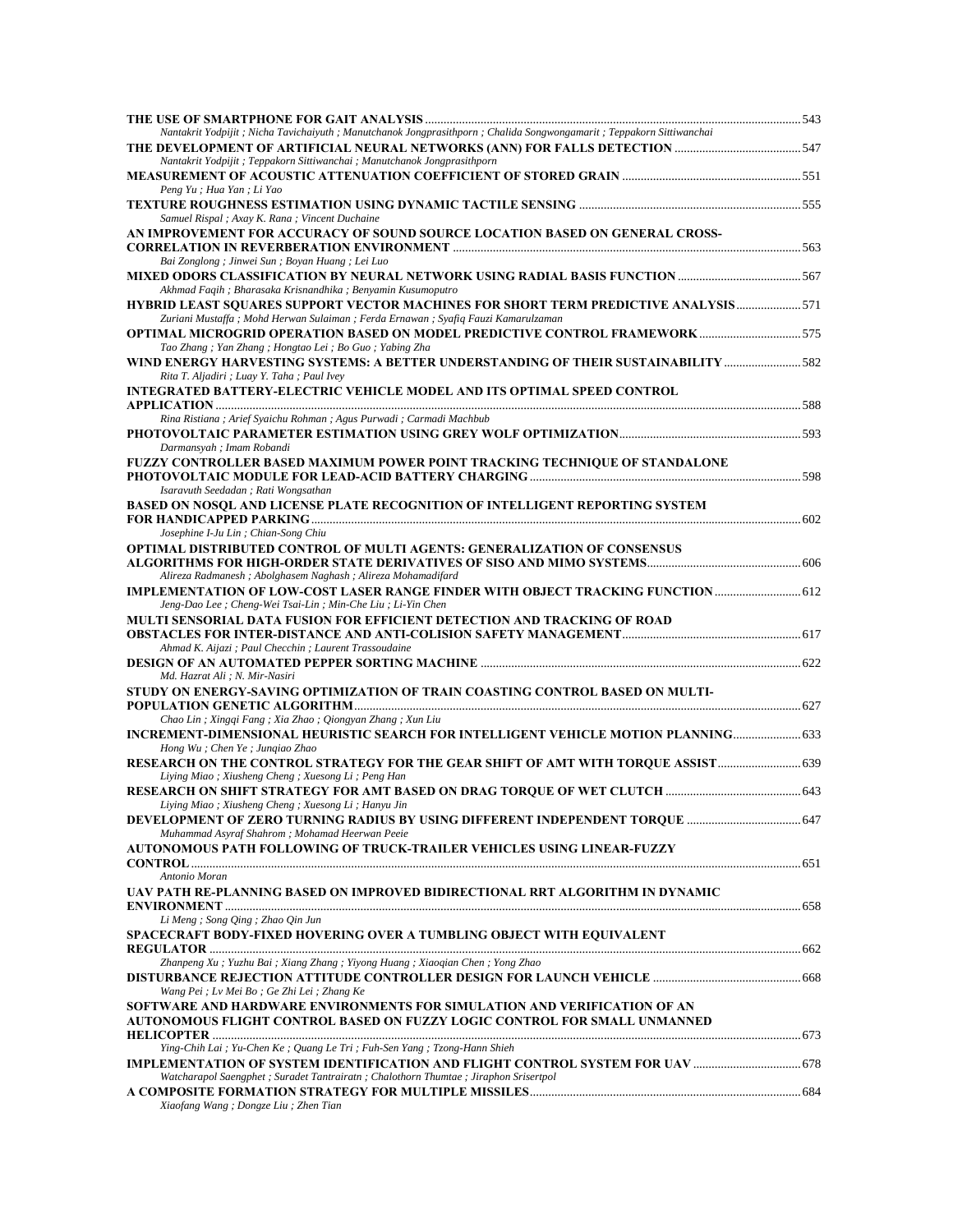| Nantakrit Yodpijit; Nicha Tavichaiyuth; Manutchanok Jongprasithporn; Chalida Songwongamarit; Teppakorn Sittiwanchai                         |  |
|---------------------------------------------------------------------------------------------------------------------------------------------|--|
| Nantakrit Yodpijit; Teppakorn Sittiwanchai; Manutchanok Jongprasithporn                                                                     |  |
| Peng Yu ; Hua Yan ; Li Yao                                                                                                                  |  |
|                                                                                                                                             |  |
| Samuel Rispal ; Axay K. Rana ; Vincent Duchaine                                                                                             |  |
| AN IMPROVEMENT FOR ACCURACY OF SOUND SOURCE LOCATION BASED ON GENERAL CROSS-                                                                |  |
| Bai Zonglong ; Jinwei Sun ; Boyan Huang ; Lei Luo                                                                                           |  |
| Akhmad Faqih; Bharasaka Krisnandhika; Benyamin Kusumoputro                                                                                  |  |
| HYBRID LEAST SQUARES SUPPORT VECTOR MACHINES FOR SHORT TERM PREDICTIVE ANALYSIS 571                                                         |  |
| Zuriani Mustaffa; Mohd Herwan Sulaiman; Ferda Ernawan; Syafiq Fauzi Kamarulzaman                                                            |  |
| <b>OPTIMAL MICROGRID OPERATION BASED ON MODEL PREDICTIVE CONTROL FRAMEWORK 575</b><br>Tao Zhang; Yan Zhang; Hongtao Lei; Bo Guo; Yabing Zha |  |
| WIND ENERGY HARVESTING SYSTEMS: A BETTER UNDERSTANDING OF THEIR SUSTAINABILITY 582                                                          |  |
| Rita T. Aljadiri ; Luay Y. Taha ; Paul Ivey                                                                                                 |  |
| <b>INTEGRATED BATTERY-ELECTRIC VEHICLE MODEL AND ITS OPTIMAL SPEED CONTROL</b>                                                              |  |
| Rina Ristiana ; Arief Syaichu Rohman ; Agus Purwadi ; Carmadi Machbub                                                                       |  |
|                                                                                                                                             |  |
| Darmansyah ; Imam Robandi<br>FUZZY CONTROLLER BASED MAXIMUM POWER POINT TRACKING TECHNIQUE OF STANDALONE                                    |  |
|                                                                                                                                             |  |
| Isaravuth Seedadan ; Rati Wongsathan<br>BASED ON NOSQL AND LICENSE PLATE RECOGNITION OF INTELLIGENT REPORTING SYSTEM                        |  |
|                                                                                                                                             |  |
| Josephine I-Ju Lin; Chian-Song Chiu                                                                                                         |  |
| OPTIMAL DISTRIBUTED CONTROL OF MULTI AGENTS: GENERALIZATION OF CONSENSUS                                                                    |  |
| Alireza Radmanesh; Abolghasem Naghash; Alireza Mohamadifard                                                                                 |  |
| <b>IMPLEMENTATION OF LOW-COST LASER RANGE FINDER WITH OBJECT TRACKING FUNCTION  612</b>                                                     |  |
| Jeng-Dao Lee ; Cheng-Wei Tsai-Lin ; Min-Che Liu ; Li-Yin Chen<br>MULTI SENSORIAL DATA FUSION FOR EFFICIENT DETECTION AND TRACKING OF ROAD   |  |
|                                                                                                                                             |  |
| Ahmad K. Aijazi ; Paul Checchin ; Laurent Trassoudaine                                                                                      |  |
| Md. Hazrat Ali ; N. Mir-Nasiri                                                                                                              |  |
| STUDY ON ENERGY-SAVING OPTIMIZATION OF TRAIN COASTING CONTROL BASED ON MULTI-                                                               |  |
| Chao Lin ; Xingqi Fang ; Xia Zhao ; Qiongyan Zhang ; Xun Liu                                                                                |  |
|                                                                                                                                             |  |
| Hong Wu; Chen Ye; Jungiao Zhao                                                                                                              |  |
| RESEARCH ON THE CONTROL STRATEGY FOR THE GEAR SHIFT OF AMT WITH TORQUE ASSIST 639<br>Liying Miao; Xiusheng Cheng; Xuesong Li; Peng Han      |  |
|                                                                                                                                             |  |
| Liying Miao; Xiusheng Cheng; Xuesong Li; Hanyu Jin                                                                                          |  |
| <b>DEVELOPMENT OF ZERO TURNING RADIUS BY USING DIFFERENT INDEPENDENT TORQUE  647</b><br>Muhammad Asyraf Shahrom; Mohamad Heerwan Peeie      |  |
| AUTONOMOUS PATH FOLLOWING OF TRUCK-TRAILER VEHICLES USING LINEAR-FUZZY                                                                      |  |
| Antonio Moran                                                                                                                               |  |
| UAV PATH RE-PLANNING BASED ON IMPROVED BIDIRECTIONAL RRT ALGORITHM IN DYNAMIC                                                               |  |
|                                                                                                                                             |  |
| Li Meng ; Song Qing ; Zhao Qin Jun<br>SPACECRAFT BODY-FIXED HOVERING OVER A TUMBLING OBJECT WITH EQUIVALENT                                 |  |
|                                                                                                                                             |  |
| Zhanpeng Xu; Yuzhu Bai; Xiang Zhang; Yiyong Huang; Xiaoqian Chen; Yong Zhao                                                                 |  |
| Wang Pei ; Lv Mei Bo ; Ge Zhi Lei ; Zhang Ke                                                                                                |  |
| SOFTWARE AND HARDWARE ENVIRONMENTS FOR SIMULATION AND VERIFICATION OF AN                                                                    |  |
| AUTONOMOUS FLIGHT CONTROL BASED ON FUZZY LOGIC CONTROL FOR SMALL UNMANNED                                                                   |  |
| Ying-Chih Lai; Yu-Chen Ke; Quang Le Tri; Fuh-Sen Yang; Tzong-Hann Shieh                                                                     |  |
|                                                                                                                                             |  |
| Watcharapol Saengphet ; Suradet Tantrairatn ; Chalothorn Thumtae ; Jiraphon Srisertpol                                                      |  |
| Xiaofang Wang; Dongze Liu; Zhen Tian                                                                                                        |  |